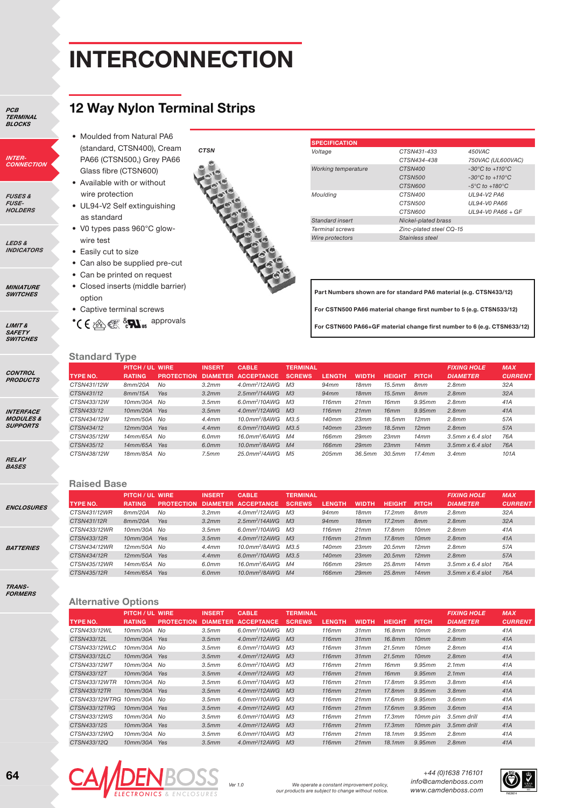## **interconnection**

**12 Way Nylon Terminal Strips**

*PCb terminal blocks*

*Inter-connection*

*fuses & Fuse-holders*

*LEDs & Indicators*

*Miniature switches*

*limit & Safety switches*

*control products*

*Interface modules & supports*

*relay bases*

*enclosures*

*batteries*

*trans-formers*

| PA66 (CTSN500,) Grey PA66   |  |
|-----------------------------|--|
| Glass fibre (CTSN600)       |  |
| • Available with or without |  |
| wire protection             |  |

• UL94-V2 Self extinguishing as standard

• Moulded from Natural PA6 (standard, CTSN400), Cream

- V0 types pass 960°C glowwire test
- Easily cut to size
- Can also be supplied pre-cut
- Can be printed on request
- Closed inserts (middle barrier) option
- Captive terminal screws

\* C  $\bigoplus_{i=1}^{\infty}$   $\bigotimes_{i=1}^{\infty}$   $\bigotimes_{i=1}^{\infty}$  approvals



| <b>SPECIFICATION</b>   |                         |                                     |
|------------------------|-------------------------|-------------------------------------|
| Voltage                | CTSN431-433             | 450VAC                              |
|                        | CTSN434-438             | 750VAC (UL600VAC)                   |
| Working temperature    | CTSN400                 | $-30^{\circ}$ C to $+110^{\circ}$ C |
|                        | CTSN500                 | $-30^{\circ}$ C to $+110^{\circ}$ C |
|                        | CTSN600                 | $-5^{\circ}$ C to $+180^{\circ}$ C  |
| Moulding               | CTSN400                 | UL94-V2 PA6                         |
|                        | CTSN500                 | <b>UL94-VO PA66</b>                 |
|                        | CTSN600                 | $UL94-V0$ PA66 + GF                 |
| Standard insert        | Nickel-plated brass     |                                     |
| <b>Terminal screws</b> | Zinc-plated steel CQ-15 |                                     |
| Wire protectors        | Stainless steel         |                                     |

**Part Numbers shown are for standard PA6 material (e.g. CTSN433/12) For CSTN500 PA66 material change first number to 5 (e.g. CTSN533/12) For CSTN600 PA66+GF material change first number to 6 (e.g. CTSN633/12)**

## **Standard Type**

| <b>UWING IYAV</b> |                      |                   |               |                              |                 |               |              |               |                 |                       |                |
|-------------------|----------------------|-------------------|---------------|------------------------------|-----------------|---------------|--------------|---------------|-----------------|-----------------------|----------------|
|                   | <b>PITCH/UL WIRE</b> |                   | <b>INSERT</b> | <b>CABLE</b>                 | <b>TERMINAL</b> |               |              |               |                 | <b>FIXING HOLE</b>    | <b>MAX</b>     |
| <b>TYPE NO.</b>   | <b>RATING</b>        | <b>PROTECTION</b> |               | DIAMETER ACCEPTANCE          | <b>SCREWS</b>   | <b>LENGTH</b> | <b>WIDTH</b> | <b>HEIGHT</b> | <b>PITCH</b>    | <b>DIAMETER</b>       | <b>CURRENT</b> |
| CTSN431/12W       | 8mm/20A              | No                | 3.2mm         | $4.0$ mm <sup>2</sup> /12AWG | M <sub>3</sub>  | 94mm          | 18mm         | 15.5mm        | 8mm             | 2.8mm                 | 32A            |
| CTSN431/12        | 8mm/15A              | Yes               | 3.2mm         | $2.5$ mm <sup>2</sup> /14AWG | M <sub>3</sub>  | 94mm          | 18mm         | 15.5mm        | 8 <sub>mm</sub> | 2.8mm                 | 32A            |
| CTSN433/12W       | 10mm/30A No          |                   | 3.5mm         | $6.0$ mm <sup>2</sup> /10AWG | MЗ              | 116mm         | 21mm         | 16mm          | 9.95mm          | 2.8mm                 | 41A            |
| CTSN433/12        | 10mm/20A Yes         |                   | 3.5mm         | $4.0$ mm <sup>2</sup> /12AWG | M <sub>3</sub>  | 116mm         | 21mm         | 16mm          | 9.95mm          | 2.8mm                 | 41A            |
| CTSN434/12W       | 12mm/50A No          |                   | 4.4mm         | 10.0mm <sup>2</sup> /8AWG    | M3.5            | 140mm         | 23mm         | 18.5mm        | 12mm            | 2.8mm                 | 57A            |
| CTSN434/12        | $12mm/30A$ Yes       |                   | 4.4mm         | $6.0$ mm <sup>2</sup> /10AWG | M3.5            | 140mm         | 23mm         | 18.5mm        | 12mm            | 2.8mm                 | 57A            |
| CTSN435/12W       | 14mm/65A No          |                   | 6.0mm         | 16.0mm <sup>2</sup> /6AWG    | M4              | 166mm         | 29mm         | 23mm          | 14mm            | $3.5$ mm $x$ 6.4 slot | 76A            |
| CTSN435/12        | 14mm/65A Yes         |                   | 6.0mm         | $10.0$ mm <sup>2</sup> /8AWG | M <sub>4</sub>  | <b>166mm</b>  | 29mm         | 23mm          | 14mm            | $3.5$ mm $x$ 6.4 slot | 76A            |
| CTSN438/12W       | 18mm/85A No          |                   | 7.5mm         | $25.0$ mm <sup>2</sup> /4AWG | M <sub>5</sub>  | 205mm         | 36.5mm       | 30.5mm        | 17.4mm          | 3.4mm                 | 101A           |
|                   |                      |                   |               |                              |                 |               |              |               |                 |                       |                |

#### **Raised Base**

|                 | PITCH / UL WIRE |                   | <b>INSERT</b>   | <b>CABLE</b>                    | <b>TERMINAL</b> |               |              |               |                 | <b>FIXING HOLE</b>    | <b>MAX</b>     |
|-----------------|-----------------|-------------------|-----------------|---------------------------------|-----------------|---------------|--------------|---------------|-----------------|-----------------------|----------------|
| <b>TYPE NO.</b> | <b>RATING</b>   | <b>PROTECTION</b> | <b>DIAMETER</b> | <b>ACCEPTANCE</b>               | <b>SCREWS</b>   | <b>LENGTH</b> | <b>WIDTH</b> | <b>HEIGHT</b> | <b>PITCH</b>    | <b>DIAMETER</b>       | <b>CURRENT</b> |
| CTSN431/12WR    | 8mm/20A         | No                | 3.2mm           | $4.0$ mm <sup>2</sup> /12AWG    | МЗ              | 94mm          | 18mm         | 17.2mm        | 8 <sub>mm</sub> | 2.8mm                 | 32A            |
| CTSN431/12R     | 8mm/20A         | Yes               | 3.2mm           | $2.5$ mm <sup>2</sup> /14AWG M3 |                 | 94mm          | 18mm         | 17.2mm        | 8mm             | 2.8mm                 | 32A            |
| CTSN433/12WR    | 10mm/30A No     |                   | 3.5mm           | 6.0mm <sup>2</sup> /10AWG       | M3              | 116mm         | 21mm         | 17.8mm        | 10mm            | 2.8mm                 | 41A            |
| CTSN433/12R     | 10mm/30A Yes    |                   | 3.5mm           | $4.0$ mm <sup>2</sup> /12AWG M3 |                 | 116mm         | 21mm         | 17.8mm        | 10mm            | 2.8mm                 | 41A            |
| CTSN434/12WR    | 12mm/50A No     |                   | 4.4mm           | 10.0mm <sup>2</sup> /8AWG       | M3.5            | 140mm         | 23mm         | 20.5mm        | 12mm            | 2.8mm                 | 57A            |
| CTSN434/12R     | 12mm/50A Yes    |                   | 4.4mm           | 6.0mm <sup>2</sup> /10AWG M3.5  |                 | 140mm         | 23mm         | 20.5mm        | 12mm            | 2.8mm                 | 57A            |
| CTSN435/12WR    | 14mm/65A No     |                   | 6.0mm           | 16.0mm <sup>2</sup> /6AWG M4    |                 | 166mm         | 29mm         | 25.8mm        | 14mm            | $3.5$ mm $x$ 6.4 slot | 76A            |
| CTSN435/12R     | 14mm/65A        | Yes               | 6.0mm           | 10.0mm <sup>2</sup> /8AWG M4    |                 | <b>166mm</b>  | 29mm         | 25.8mm        | 14mm            | $3.5$ mm $x$ 6.4 slot | 76A            |
|                 |                 |                   |                 |                                 |                 |               |              |               |                 |                       |                |

### **Alternative Options**

| , ,, , , , , , , , , , <del>,</del> | -------                |                   |                 |                              |                 |               |              |               |              |                    |                |
|-------------------------------------|------------------------|-------------------|-----------------|------------------------------|-----------------|---------------|--------------|---------------|--------------|--------------------|----------------|
|                                     | <b>PITCH / UL WIRE</b> |                   | <b>INSERT</b>   | <b>CABLE</b>                 | <b>TERMINAL</b> |               |              |               |              | <b>FIXING HOLE</b> | <b>MAX</b>     |
| <b>TYPE NO.</b>                     | <b>RATING</b>          | <b>PROTECTION</b> | <b>DIAMETER</b> | <b>ACCEPTANCE</b>            | <b>SCREWS</b>   | <b>LENGTH</b> | <b>WIDTH</b> | <b>HEIGHT</b> | <b>PITCH</b> | <b>DIAMETER</b>    | <b>CURRENT</b> |
| CTSN433/12WL                        | 10mm/30A No            |                   | 3.5mm           | 6.0mm <sup>2</sup> /10AWG    | M <sub>3</sub>  | 116mm         | 31mm         | 16.8mm        | 10mm         | 2.8mm              | 41A            |
| CTSN433/12L                         | 10mm/30A               | Yes               | 3.5mm           | $4.0$ mm <sup>2</sup> /12AWG | M <sub>3</sub>  | 116mm         | 31mm         | 16.8mm        | 10mm         | 2.8mm              | 41A            |
| CTSN433/12WLC                       | 10mm/30A               | No                | 3.5mm           | 6.0mm <sup>2</sup> /10AWG    | M <sub>3</sub>  | 116mm         | 31mm         | 21.5mm        | 10mm         | 2.8mm              | 41A            |
| CTSN433/12LC                        | 10mm/30A               | Yes               | 3.5mm           | $4.0$ mm <sup>2</sup> /12AWG | M <sub>3</sub>  | 116mm         | 31mm         | 21.5mm        | 10mm         | 2.8mm              | 41A            |
| CTSN433/12WT                        | 10mm/30A No            |                   | 3.5mm           | 6.0mm <sup>2</sup> /10AWG    | M <sub>3</sub>  | 116mm         | 21mm         | 16mm          | 9.95mm       | 2.1mm              | 41A            |
| CTSN433/12T                         | 10mm/30A               | Yes               | 3.5mm           | $4.0$ mm <sup>2</sup> /12AWG | M <sub>3</sub>  | 116mm         | 21mm         | 16mm          | 9.95mm       | 2.1mm              | 41A            |
| CTSN433/12WTR                       | 10mm/30A               | No                | 3.5mm           | 6.0mm <sup>2</sup> /10AWG    | M <sub>3</sub>  | 116mm         | 21mm         | 17.8mm        | 9.95mm       | 3.8mm              | 41A            |
| CTSN433/12TR                        | 10mm/30A               | Yes               | 3.5mm           | $4.0$ mm <sup>2</sup> /12AWG | M <sub>3</sub>  | 116mm         | 21mm         | 17.8mm        | 9.95mm       | 3.8mm              | 41A            |
| CTSN433/12WTRG                      | 10mm/30A No            |                   | 3.5mm           | 6.0mm <sup>2</sup> /10AWG    | MЗ              | 116mm         | 21mm         | 17.6mm        | 9.95mm       | 3.6mm              | 41A            |
| CTSN433/12TRG                       | 10mm/30A               | Yes               | 3.5mm           | $4.0$ mm <sup>2</sup> /12AWG | M <sub>3</sub>  | 116mm         | 21mm         | 17.6mm        | 9.95mm       | 3.6mm              | 41A            |
| CTSN433/12WS                        | 10mm/30A No            |                   | 3.5mm           | 6.0mm <sup>2</sup> /10AWG    | M <sub>3</sub>  | 116mm         | 21mm         | 17.3mm        | 10mm pin     | 3.5mm drill        | 41A            |
| CTSN433/12S                         | 10mm/30A               | Yes               | 3.5mm           | $4.0$ mm <sup>2</sup> /12AWG | M <sub>3</sub>  | 116mm         | 21mm         | 17.3mm        | 10mm pin     | 3.5mm drill        | 41A            |
| CTSN433/12WQ                        | 10mm/30A No            |                   | 3.5mm           | 6.0mm <sup>2</sup> /10AWG    | MЗ              | 116mm         | 21mm         | 18.1mm        | 9.95mm       | 2.8mm              | 41A            |
| CTSN433/12Q                         | 10mm/30A               | Yes               | 3.5mm           | $4.0$ mm <sup>2</sup> /12AWG | M <sub>3</sub>  | 116mm         | 21mm         | 18.1mm        | 9.95mm       | 2.8mm              | 41A            |



We operate a constant improvement policy,<br>
our products are subject to change without notice. **WWW.Camdenboss.com** 

*+44 (0)1638 716101 info@camdenboss.com*